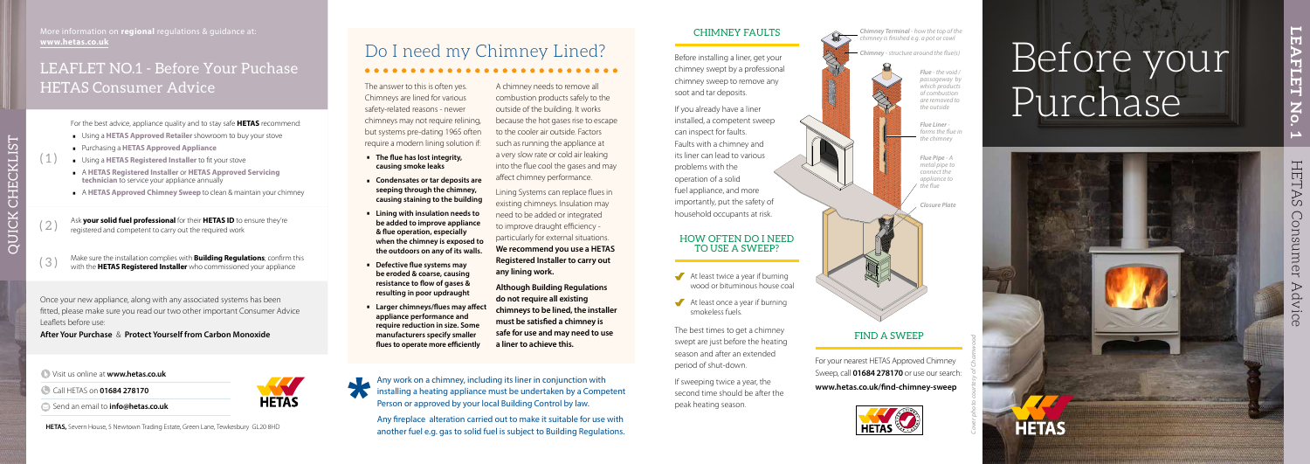# Before your Purchase



# Do I need my Chimney Lined?

The answer to this is often yes. Chimneys are lined for various safety-related reasons - newer chimneys may not require relining, but systems pre-dating 1965 often require a modern lining solution if:

- ∙ **The flue has lost integrity, causing smoke leaks**
- ∙ **Condensates or tar deposits are seeping through the chimney, causing staining to the building**
- ∙ **Lining with insulation needs to be added to improve appliance & flue operation, especially when the chimney is exposed to the outdoors on any of its walls.**
- ∙ **Defective flue systems may be eroded & coarse, causing resistance to flow of gases & resulting in poor updraught**
- ∙ **Larger chimneys/flues may affect appliance performance and require reduction in size. Some manufacturers specify smaller flues to operate more efficiently**

A chimney needs to remove all combustion products safely to the outside of the building. It works because the hot gases rise to escape to the cooler air outside. Factors such as running the appliance at a very slow rate or cold air leaking into the flue cool the gases and may affect chimney performance.

> At least twice a year if burning wood or bituminous house coal

 $\blacktriangleright$  At least once a year if burning smokeless fuels.

Lining Systems can replace flues in existing chimneys. Insulation may need to be added or integrated to improve draught efficiency particularly for external situations. **We recommend you use a HETAS Registered Installer to carry out any lining work.**

Any work on a chimney, including its liner in conjunction with installing a heating appliance must be undertaken by a Competent Person or approved by your local Building Control by law.

**Although Building Regulations do not require all existing chimneys to be lined, the installer must be satisfied a chimney is safe for use and may need to use a liner to achieve this.**



**HETAS** 

# FIND A SWEEP

For your nearest HETAS Approved Chimney Sweep, call **01684 278170** or use our search: **www.hetas.co.uk/find-chimney-sweep**



#### CHIMNEY FAULTS

Before installing a liner, get your chimney swept by a professional chimney sweep to remove any soot and tar deposits.

If you already have a liner installed, a competent sweep can inspect for faults. Faults with a chimney and its liner can lead to various problems with the operation of a solid fuel appliance, and more importantly, put the safety of

household occupants at risk.

#### HOW OFTEN DO I NEED TO USE A SWEEP?

The best times to get a chimney swept are just before the heating season and after an extended period of shut-down.

If sweeping twice a year, the second time should be after the peak heating season.

Any fireplace alteration carried out to make it suitable for use with another fuel e.g. gas to solid fuel is subject to Building Regulations.



*Flue Liner forms the flue in the chimney*

*Flue Pipe - A metal pipe to connect the appliance to the flue* 

*Closure Plate*

*Flue - the void / passageway by which products of combustion are removed to the outside*

*Chimney - structure around the flue(s)*

*Cover photo courtesy of Charnwood*

Visit us online at **www.hetas.co.uk**

Call HETAS on **01684 278170** 

 $(1)$ 

**HETAS,** Severn House, 5 Newtown Trading Estate, Green Lane, Tewkesbury GL20 8HD

More information on **regional** regulations & guidance at: **www.hetas.co.uk**

Once your new appliance, along with any associated systems has been fitted, please make sure you read our two other important Consumer Advice Leaflets before use:

**After Your Purchase** & **Protect Yourself from Carbon Monoxide**

For the best advice, appliance quality and to stay safe **HETAS** recommend:

- ∙ Using a **HETAS Approved Retailer** showroom to buy your stove
- ∙ Purchasing a **HETAS Approved Appliance**
- ∙ Using a **HETAS Registered Installer** to fit your stove
- ∙ <sup>A</sup>**HETAS Registered Installer** or **HETAS Approved Servicing technician** to service your appliance annually
- ∙ <sup>A</sup>**HETAS Approved Chimney Sweep** to clean & maintain your chimney

( 2 ) Ask **your solid fuel professional** for their **HETAS ID** to ensure they're registered and competent to carry out the required work

( 3 ) Make sure the installation complies with **Building Regulations**; confirm this with the **HETAS Registered Installer** who commissioned your appliance

QUICK CHECKLIST

QUICK CHECKLIST

Send an email to **info@hetas.co.uk** 

## LEAFLET NO.1 - Before Your Puchase HETAS Consumer Advice